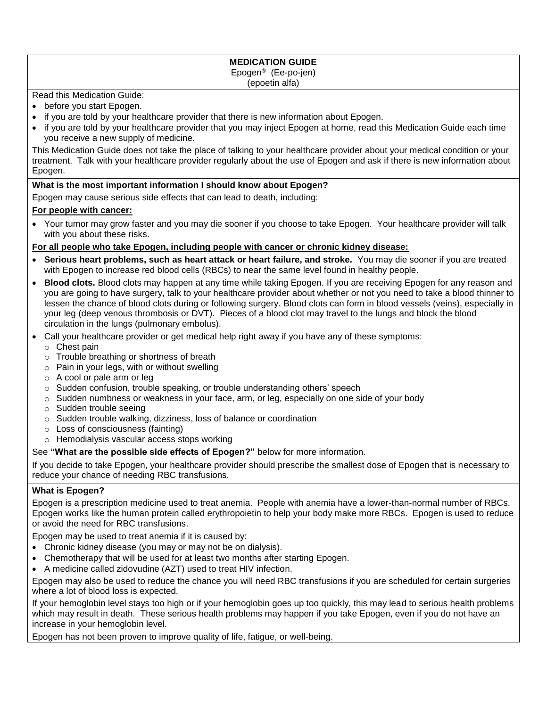#### **MEDICATION GUIDE** Epogen® (Ee-po-jen) (epoetin alfa)

#### Read this Medication Guide:

- before you start Epogen.
- if you are told by your healthcare provider that there is new information about Epogen.
- if you are told by your healthcare provider that you may inject Epogen at home, read this Medication Guide each time you receive a new supply of medicine.

This Medication Guide does not take the place of talking to your healthcare provider about your medical condition or your treatment. Talk with your healthcare provider regularly about the use of Epogen and ask if there is new information about Epogen.

#### **What is the most important information I should know about Epogen?**

Epogen may cause serious side effects that can lead to death, including:

#### **For people with cancer:**

• Your tumor may grow faster and you may die sooner if you choose to take Epogen. Your healthcare provider will talk with you about these risks.

#### **For all people who take Epogen, including people with cancer or chronic kidney disease:**

- **Serious heart problems, such as heart attack or heart failure, and stroke.** You may die sooner if you are treated with Epogen to increase red blood cells (RBCs) to near the same level found in healthy people.
- **Blood clots.** Blood clots may happen at any time while taking Epogen. If you are receiving Epogen for any reason and you are going to have surgery, talk to your healthcare provider about whether or not you need to take a blood thinner to lessen the chance of blood clots during or following surgery. Blood clots can form in blood vessels (veins), especially in your leg (deep venous thrombosis or DVT). Pieces of a blood clot may travel to the lungs and block the blood circulation in the lungs (pulmonary embolus).
- Call your healthcare provider or get medical help right away if you have any of these symptoms:
	- o Chest pain
	- o Trouble breathing or shortness of breath
	- $\circ$  Pain in your legs, with or without swelling
	- o A cool or pale arm or leg
	- o Sudden confusion, trouble speaking, or trouble understanding others' speech
	- $\circ$  Sudden numbness or weakness in your face, arm, or leg, especially on one side of your body
	- o Sudden trouble seeing
	- o Sudden trouble walking, dizziness, loss of balance or coordination
	- o Loss of consciousness (fainting)
	- o Hemodialysis vascular access stops working

#### See **"What are the possible side effects of Epogen?"** below for more information.

If you decide to take Epogen, your healthcare provider should prescribe the smallest dose of Epogen that is necessary to reduce your chance of needing RBC transfusions.

## **What is Epogen?**

Epogen is a prescription medicine used to treat anemia. People with anemia have a lower-than-normal number of RBCs. Epogen works like the human protein called erythropoietin to help your body make more RBCs. Epogen is used to reduce or avoid the need for RBC transfusions.

Epogen may be used to treat anemia if it is caused by:

- Chronic kidney disease (you may or may not be on dialysis).
- Chemotherapy that will be used for at least two months after starting Epogen.
- A medicine called zidovudine (AZT) used to treat HIV infection.

Epogen may also be used to reduce the chance you will need RBC transfusions if you are scheduled for certain surgeries where a lot of blood loss is expected.

If your hemoglobin level stays too high or if your hemoglobin goes up too quickly, this may lead to serious health problems which may result in death. These serious health problems may happen if you take Epogen, even if you do not have an increase in your hemoglobin level.

Epogen has not been proven to improve quality of life, fatigue, or well-being.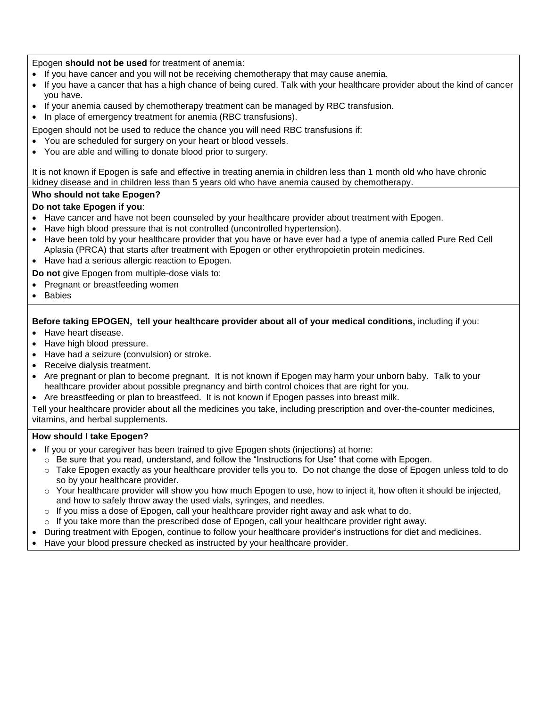Epogen **should not be used** for treatment of anemia:

- If you have cancer and you will not be receiving chemotherapy that may cause anemia.
- If you have a cancer that has a high chance of being cured. Talk with your healthcare provider about the kind of cancer you have.
- If your anemia caused by chemotherapy treatment can be managed by RBC transfusion.
- In place of emergency treatment for anemia (RBC transfusions).

Epogen should not be used to reduce the chance you will need RBC transfusions if:

- You are scheduled for surgery on your heart or blood vessels.
- You are able and willing to donate blood prior to surgery.

It is not known if Epogen is safe and effective in treating anemia in children less than 1 month old who have chronic kidney disease and in children less than 5 years old who have anemia caused by chemotherapy.

## **Who should not take Epogen?**

## **Do not take Epogen if you**:

- Have cancer and have not been counseled by your healthcare provider about treatment with Epogen.
- Have high blood pressure that is not controlled (uncontrolled hypertension).
- Have been told by your healthcare provider that you have or have ever had a type of anemia called Pure Red Cell Aplasia (PRCA) that starts after treatment with Epogen or other erythropoietin protein medicines.
- Have had a serious allergic reaction to Epogen.

**Do not** give Epogen from multiple-dose vials to:

- Pregnant or breastfeeding women
- Babies

## **Before taking EPOGEN, tell your healthcare provider about all of your medical conditions,** including if you:

- Have heart disease.
- Have high blood pressure.
- Have had a seizure (convulsion) or stroke.
- Receive dialysis treatment.
- Are pregnant or plan to become pregnant. It is not known if Epogen may harm your unborn baby. Talk to your healthcare provider about possible pregnancy and birth control choices that are right for you.
- Are breastfeeding or plan to breastfeed. It is not known if Epogen passes into breast milk.

Tell your healthcare provider about all the medicines you take, including prescription and over-the-counter medicines, vitamins, and herbal supplements.

#### **How should I take Epogen?**

- If you or your caregiver has been trained to give Epogen shots (injections) at home:
	- $\circ$  Be sure that you read, understand, and follow the "Instructions for Use" that come with Epogen.
	- o Take Epogen exactly as your healthcare provider tells you to. Do not change the dose of Epogen unless told to do so by your healthcare provider.
	- $\circ$  Your healthcare provider will show you how much Epogen to use, how to inject it, how often it should be injected, and how to safely throw away the used vials, syringes, and needles.
	- $\circ$  If you miss a dose of Epogen, call your healthcare provider right away and ask what to do.
	- $\circ$  If you take more than the prescribed dose of Epogen, call your healthcare provider right away.
- During treatment with Epogen, continue to follow your healthcare provider's instructions for diet and medicines.
- Have your blood pressure checked as instructed by your healthcare provider.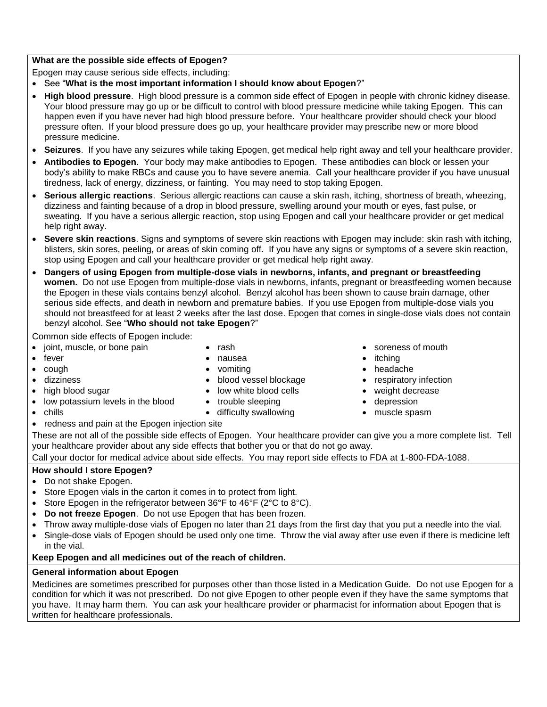## **What are the possible side effects of Epogen?**

Epogen may cause serious side effects, including:

- See "**What is the most important information I should know about Epogen**?"
- **High blood pressure**. High blood pressure is a common side effect of Epogen in people with chronic kidney disease. Your blood pressure may go up or be difficult to control with blood pressure medicine while taking Epogen. This can happen even if you have never had high blood pressure before. Your healthcare provider should check your blood pressure often. If your blood pressure does go up, your healthcare provider may prescribe new or more blood pressure medicine.
- **Seizures**. If you have any seizures while taking Epogen, get medical help right away and tell your healthcare provider.
- **Antibodies to Epogen**. Your body may make antibodies to Epogen. These antibodies can block or lessen your body's ability to make RBCs and cause you to have severe anemia. Call your healthcare provider if you have unusual tiredness, lack of energy, dizziness, or fainting. You may need to stop taking Epogen.
- **Serious allergic reactions**. Serious allergic reactions can cause a skin rash, itching, shortness of breath, wheezing, dizziness and fainting because of a drop in blood pressure, swelling around your mouth or eyes, fast pulse, or sweating. If you have a serious allergic reaction, stop using Epogen and call your healthcare provider or get medical help right away.
- **Severe skin reactions**. Signs and symptoms of severe skin reactions with Epogen may include: skin rash with itching, blisters, skin sores, peeling, or areas of skin coming off. If you have any signs or symptoms of a severe skin reaction, stop using Epogen and call your healthcare provider or get medical help right away.
- **Dangers of using Epogen from multiple-dose vials in newborns, infants, and pregnant or breastfeeding women.** Do not use Epogen from multiple-dose vials in newborns, infants, pregnant or breastfeeding women because the Epogen in these vials contains benzyl alcohol. Benzyl alcohol has been shown to cause brain damage, other serious side effects, and death in newborn and premature babies. If you use Epogen from multiple-dose vials you should not breastfeed for at least 2 weeks after the last dose. Epogen that comes in single-dose vials does not contain benzyl alcohol. See "**Who should not take Epogen**?"

Common side effects of Epogen include:

- joint, muscle, or bone pain
- fever
- $\bullet$  cough
- 
- 
- low potassium levels in the blood  $\bullet$  trouble sleeping  $\bullet$  depression
- -

• rash nausea • vomiting

- 
- redness and pain at the Epogen injection site
- itching
- headache
- dizziness blood vessel blockage respiratory infection

soreness of mouth

- high blood sugar **all in the set of the set of the set of the set of the set of the set of the set of the set o** 
	-
- chills **and the child of the contract of the child of the child of the child of the child of the child of the child of the child of the child of the child of the child of the child of the child of the child of the child**
- These are not all of the possible side effects of Epogen. Your healthcare provider can give you a more complete list. Tell your healthcare provider about any side effects that bother you or that do not go away.

Call your doctor for medical advice about side effects. You may report side effects to FDA at 1-800-FDA-1088.

# **How should I store Epogen?**

- Do not shake Epogen.
- Store Epogen vials in the carton it comes in to protect from light.
- Store Epogen in the refrigerator between 36°F to 46°F (2°C to 8°C).
- **Do not freeze Epogen**. Do not use Epogen that has been frozen.
- Throw away multiple-dose vials of Epogen no later than 21 days from the first day that you put a needle into the vial.
- Single-dose vials of Epogen should be used only one time. Throw the vial away after use even if there is medicine left in the vial.

## **Keep Epogen and all medicines out of the reach of children.**

## **General information about Epogen**

Medicines are sometimes prescribed for purposes other than those listed in a Medication Guide. Do not use Epogen for a condition for which it was not prescribed. Do not give Epogen to other people even if they have the same symptoms that you have. It may harm them. You can ask your healthcare provider or pharmacist for information about Epogen that is written for healthcare professionals.